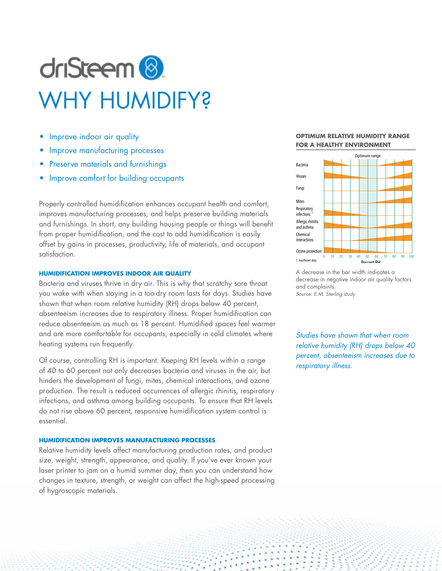# driSteem<sup>®</sup> WHY HUMIDIFY?

- Improve indoor air quality
- Improve manufacturing processes
- Preserve materials and furnishings
- Improve comfort for building occupants

Properly controlled humidification enhances occupant health and comfort, improves manufacturing processes, and helps preserve building materials and furnishings. In short, any building housing people or things will benefit from proper humidification, and the cost to add humidification is easily offset by gains in processes, productivity, life of materials, and occupant satisfaction.

# **HUMIDIFICATION IMPROVES INDOOR AIR QUALITY**

Bacteria and viruses thrive in dry air. This is why that scratchy sore throat you wake with when staying in a too-dry room lasts for days. Studies have shown that when room relative humidity (RH) drops below 40 percent, absenteeism increases due to respiratory illness. Proper humidification can reduce absenteeism as much as 18 percent. Humidified spaces feel warmer and are more comfortable for occupants, especially in cold climates where heating systems run frequently.

Of course, controlling RH is important. Keeping RH levels within a range of 40 to 60 percent not only decreases bacteria and viruses in the air, but hinders the development of fungi, mites, chemical interactions, and ozone production. The result is reduced occurrences of allergic rhinitis, respiratory infections, and asthma among building occupants. To ensure that RH levels do not rise above 60 percent, responsive humidification system control is essential.

# **HUMIDIFICATION IMPROVES MANUFACTURING PROCESSES**

Relative humidity levels affect manufacturing production rates, and product size, weight, strength, appearance, and quality. If you've ever known your laser printer to jam on a humid summer day, then you can understand how changes in texture, strength, or weight can affect the high-speed processing of hygroscopic materials.

#### **OPTIMUM RELATIVE HUMIDITY RANGE FOR A HEALTHY ENVIRONMENT**



A decrease in the bar width indicates a decrease in negative indoor air quality factors and complaints. *Source: E.M. Sterling study*

*Studies have shown that when room relative humidity (RH) drops below 40 percent, absenteeism increases due to respiratory illness.*